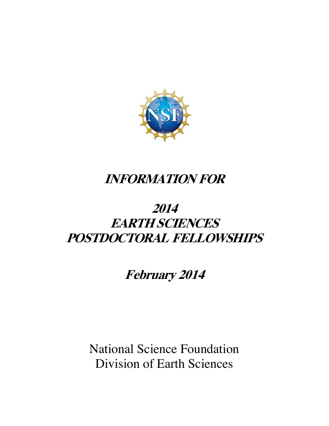

# **INFORMATION FOR**

# **EARTH SCIENCES 2014 POSTDOCTORAL FELLOWSHIPS**

**February 2014** 

National Science Foundation Division of Earth Sciences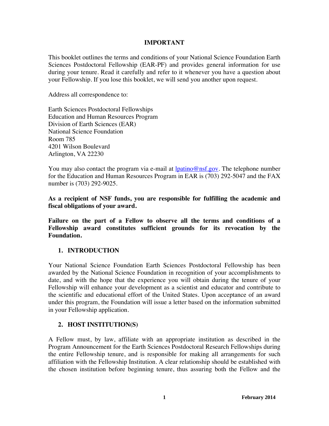#### **IMPORTANT**

This booklet outlines the terms and conditions of your National Science Foundation Earth Sciences Postdoctoral Fellowship (EAR-PF) and provides general information for use during your tenure. Read it carefully and refer to it whenever you have a question about your Fellowship. If you lose this booklet, we will send you another upon request.

Address all correspondence to:

Earth Sciences Postdoctoral Fellowships Education and Human Resources Program Division of Earth Sciences (EAR) National Science Foundation Room 785 4201 Wilson Boulevard Arlington, VA 22230

You may also contact the program via e-mail at  $l$ <u>patino@nsf.gov</u>. The telephone number for the Education and Human Resources Program in EAR is (703) 292-5047 and the FAX number is (703) 292-9025.

**As a recipient of NSF funds, you are responsible for fulfilling the academic and fiscal obligations of your award.** 

**Failure on the part of a Fellow to observe all the terms and conditions of a Fellowship award constitutes sufficient grounds for its revocation by the Foundation.** 

#### **1. INTRODUCTION**

Your National Science Foundation Earth Sciences Postdoctoral Fellowship has been awarded by the National Science Foundation in recognition of your accomplishments to date, and with the hope that the experience you will obtain during the tenure of your Fellowship will enhance your development as a scientist and educator and contribute to the scientific and educational effort of the United States. Upon acceptance of an award under this program, the Foundation will issue a letter based on the information submitted in your Fellowship application.

#### **2. HOST INSTITUTION(S)**

A Fellow must, by law, affiliate with an appropriate institution as described in the Program Announcement for the Earth Sciences Postdoctoral Research Fellowships during the entire Fellowship tenure, and is responsible for making all arrangements for such affiliation with the Fellowship Institution. A clear relationship should be established with the chosen institution before beginning tenure, thus assuring both the Fellow and the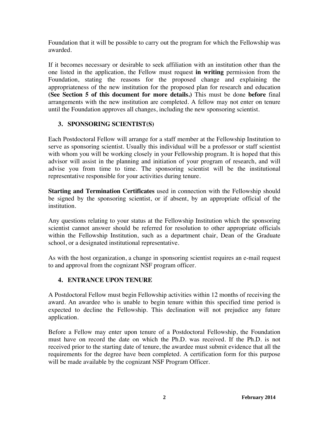Foundation that it will be possible to carry out the program for which the Fellowship was awarded.

If it becomes necessary or desirable to seek affiliation with an institution other than the one listed in the application, the Fellow must request **in writing** permission from the Foundation, stating the reasons for the proposed change and explaining the appropriateness of the new institution for the proposed plan for research and education **(See Section 5 of this document for more details.)** This must be done **before** final arrangements with the new institution are completed. A fellow may not enter on tenure until the Foundation approves all changes, including the new sponsoring scientist.

# **3. SPONSORING SCIENTIST(S)**

Each Postdoctoral Fellow will arrange for a staff member at the Fellowship Institution to serve as sponsoring scientist. Usually this individual will be a professor or staff scientist with whom you will be working closely in your Fellowship program. It is hoped that this advisor will assist in the planning and initiation of your program of research, and will advise you from time to time. The sponsoring scientist will be the institutional representative responsible for your activities during tenure.

**Starting and Termination Certificates** used in connection with the Fellowship should be signed by the sponsoring scientist, or if absent, by an appropriate official of the institution.

Any questions relating to your status at the Fellowship Institution which the sponsoring scientist cannot answer should be referred for resolution to other appropriate officials within the Fellowship Institution, such as a department chair, Dean of the Graduate school, or a designated institutional representative.

As with the host organization, a change in sponsoring scientist requires an e-mail request to and approval from the cognizant NSF program officer.

# **4. ENTRANCE UPON TENURE**

A Postdoctoral Fellow must begin Fellowship activities within 12 months of receiving the award. An awardee who is unable to begin tenure within this specified time period is expected to decline the Fellowship. This declination will not prejudice any future application.

Before a Fellow may enter upon tenure of a Postdoctoral Fellowship, the Foundation must have on record the date on which the Ph.D. was received. If the Ph.D. is not received prior to the starting date of tenure, the awardee must submit evidence that all the requirements for the degree have been completed. A certification form for this purpose will be made available by the cognizant NSF Program Officer.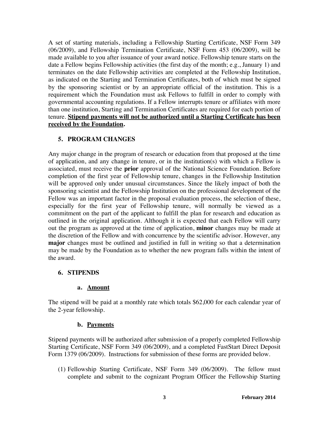A set of starting materials, including a Fellowship Starting Certificate, NSF Form 349 (06/2009), and Fellowship Termination Certificate, NSF Form 453 (06/2009), will be made available to you after issuance of your award notice. Fellowship tenure starts on the date a Fellow begins Fellowship activities (the first day of the month; e.g., January 1) and terminates on the date Fellowship activities are completed at the Fellowship Institution, as indicated on the Starting and Termination Certificates, both of which must be signed by the sponsoring scientist or by an appropriate official of the institution. This is a requirement which the Foundation must ask Fellows to fulfill in order to comply with governmental accounting regulations. If a Fellow interrupts tenure or affiliates with more than one institution, Starting and Termination Certificates are required for each portion of tenure. **Stipend payments will not be authorized until a Starting Certificate has been received by the Foundation.** 

# **5. PROGRAM CHANGES**

Any major change in the program of research or education from that proposed at the time of application, and any change in tenure, or in the institution(s) with which a Fellow is associated, must receive the **prior** approval of the National Science Foundation. Before completion of the first year of Fellowship tenure, changes in the Fellowship Institution will be approved only under unusual circumstances. Since the likely impact of both the sponsoring scientist and the Fellowship Institution on the professional development of the Fellow was an important factor in the proposal evaluation process, the selection of these, especially for the first year of Fellowship tenure, will normally be viewed as a commitment on the part of the applicant to fulfill the plan for research and education as outlined in the original application. Although it is expected that each Fellow will carry out the program as approved at the time of application, **minor** changes may be made at the discretion of the Fellow and with concurrence by the scientific advisor. However, any **major** changes must be outlined and justified in full in writing so that a determination may be made by the Foundation as to whether the new program falls within the intent of the award.

#### **6. STIPENDS**

#### **a. Amount**

The stipend will be paid at a monthly rate which totals \$62,000 for each calendar year of the 2-year fellowship.

#### **b. Payments**

Stipend payments will be authorized after submission of a properly completed Fellowship Starting Certificate, NSF Form 349 (06/2009), and a completed FastStart Direct Deposit Form 1379 (06/2009). Instructions for submission of these forms are provided below.

(1) Fellowship Starting Certificate, NSF Form 349 (06/2009). The fellow must complete and submit to the cognizant Program Officer the Fellowship Starting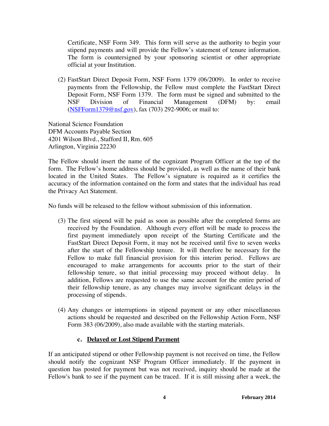Certificate, NSF Form 349. This form will serve as the authority to begin your stipend payments and will provide the Fellow's statement of tenure information. The form is countersigned by your sponsoring scientist or other appropriate official at your Institution.

(2) FastStart Direct Deposit Form, NSF Form 1379 (06/2009). In order to receive payments from the Fellowship, the Fellow must complete the FastStart Direct Deposit Form, NSF Form 1379. The form must be signed and submitted to the NSF Division of Financial Management (DFM) by: email (NSFForm1379@nsf.gov), fax (703) 292-9006; or mail to:

National Science Foundation DFM Accounts Payable Section 4201 Wilson Blvd., Stafford II, Rm. 605 Arlington, Virginia 22230

The Fellow should insert the name of the cognizant Program Officer at the top of the form. The Fellow's home address should be provided, as well as the name of their bank located in the United States. The Fellow's signature is required as it certifies the accuracy of the information contained on the form and states that the individual has read the Privacy Act Statement.

No funds will be released to the fellow without submission of this information.

- (3) The first stipend will be paid as soon as possible after the completed forms are received by the Foundation. Although every effort will be made to process the first payment immediately upon receipt of the Starting Certificate and the FastStart Direct Deposit Form, it may not be received until five to seven weeks after the start of the Fellowship tenure. It will therefore be necessary for the Fellow to make full financial provision for this interim period. Fellows are encouraged to make arrangements for accounts prior to the start of their fellowship tenure, so that initial processing may proceed without delay. In addition, Fellows are requested to use the same account for the entire period of their fellowship tenure, as any changes may involve significant delays in the processing of stipends.
- (4) Any changes or interruptions in stipend payment or any other miscellaneous actions should be requested and described on the Fellowship Action Form, NSF Form 383 (06/2009), also made available with the starting materials.

# **c. Delayed or Lost Stipend Payment**

If an anticipated stipend or other Fellowship payment is not received on time, the Fellow should notify the cognizant NSF Program Officer immediately. If the payment in question has posted for payment but was not received, inquiry should be made at the Fellow's bank to see if the payment can be traced. If it is still missing after a week, the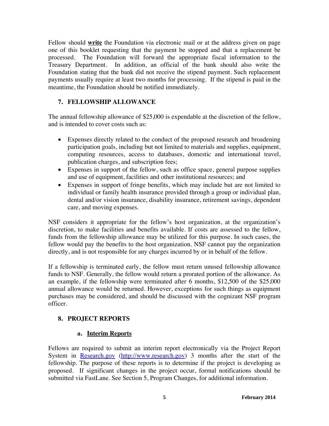Fellow should **write** the Foundation via electronic mail or at the address given on page one of this booklet requesting that the payment be stopped and that a replacement be processed. The Foundation will forward the appropriate fiscal information to the Treasury Department. In addition, an official of the bank should also write the Foundation stating that the bank did not receive the stipend payment. Such replacement payments usually require at least two months for processing. If the stipend is paid in the meantime, the Foundation should be notified immediately.

# **7. FELLOWSHIP ALLOWANCE**

The annual fellowship allowance of \$25,000 is expendable at the discretion of the fellow, and is intended to cover costs such as:

- Expenses directly related to the conduct of the proposed research and broadening participation goals, including but not limited to materials and supplies, equipment, computing resources, access to databases, domestic and international travel, publication charges, and subscription fees;
- Expenses in support of the fellow, such as office space, general purpose supplies and use of equipment, facilities and other institutional resources; and
- Expenses in support of fringe benefits, which may include but are not limited to individual or family health insurance provided through a group or individual plan, dental and/or vision insurance, disability insurance, retirement savings, dependent care, and moving expenses.

NSF considers it appropriate for the fellow's host organization, at the organization's discretion, to make facilities and benefits available. If costs are assessed to the fellow, funds from the fellowship allowance may be utilized for this purpose. In such cases, the fellow would pay the benefits to the host organization. NSF cannot pay the organization directly, and is not responsible for any charges incurred by or in behalf of the fellow.

If a fellowship is terminated early, the fellow must return unused fellowship allowance funds to NSF. Generally, the fellow would return a prorated portion of the allowance. As an example, if the fellowship were terminated after 6 months, \$12,500 of the \$25,000 annual allowance would be returned. However, exceptions for such things as equipment purchases may be considered, and should be discussed with the cognizant NSF program officer.

# **8. PROJECT REPORTS**

# **a. Interim Reports**

Fellows are required to submit an interim report electronically via the Project Report System in Research.gov (http://www.research.gov) 3 months after the start of the fellowship. The purpose of these reports is to determine if the project is developing as proposed. If significant changes in the project occur, formal notifications should be submitted via FastLane. See Section 5, Program Changes, for additional information.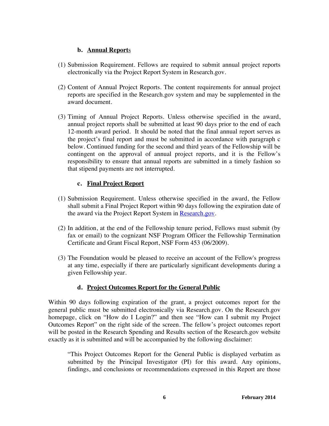### **b. Annual Report**s

- (1) Submission Requirement. Fellows are required to submit annual project reports electronically via the Project Report System in Research.gov.
- (2) Content of Annual Project Reports. The content requirements for annual project reports are specified in the Research.gov system and may be supplemented in the award document.
- (3) Timing of Annual Project Reports. Unless otherwise specified in the award, annual project reports shall be submitted at least 90 days prior to the end of each 12-month award period. It should be noted that the final annual report serves as the project's final report and must be submitted in accordance with paragraph c below. Continued funding for the second and third years of the Fellowship will be contingent on the approval of annual project reports, and it is the Fellow's responsibility to ensure that annual reports are submitted in a timely fashion so that stipend payments are not interrupted.

# **c. Final Project Report**

- (1) Submission Requirement. Unless otherwise specified in the award, the Fellow shall submit a Final Project Report within 90 days following the expiration date of the award via the Project Report System in Research.gov.
- (2) In addition, at the end of the Fellowship tenure period, Fellows must submit (by fax or email) to the cognizant NSF Program Officer the Fellowship Termination Certificate and Grant Fiscal Report, NSF Form 453 (06/2009).
- (3) The Foundation would be pleased to receive an account of the Fellow's progress at any time, especially if there are particularly significant developments during a given Fellowship year.

# **d. Project Outcomes Report for the General Public**

Within 90 days following expiration of the grant, a project outcomes report for the general public must be submitted electronically via Research.gov. On the Research.gov homepage, click on "How do I Login?" and then see "How can I submit my Project Outcomes Report" on the right side of the screen. The fellow's project outcomes report will be posted in the Research Spending and Results section of the Research.gov website exactly as it is submitted and will be accompanied by the following disclaimer:

"This Project Outcomes Report for the General Public is displayed verbatim as submitted by the Principal Investigator (PI) for this award. Any opinions, findings, and conclusions or recommendations expressed in this Report are those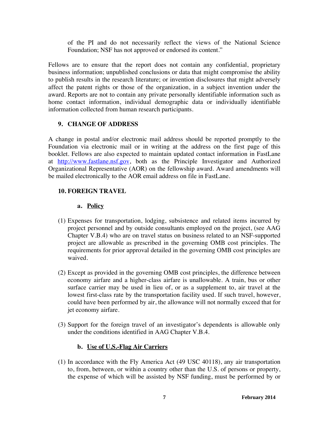of the PI and do not necessarily reflect the views of the National Science Foundation; NSF has not approved or endorsed its content."

Fellows are to ensure that the report does not contain any confidential, proprietary business information; unpublished conclusions or data that might compromise the ability to publish results in the research literature; or invention disclosures that might adversely affect the patent rights or those of the organization, in a subject invention under the award. Reports are not to contain any private personally identifiable information such as home contact information, individual demographic data or individually identifiable information collected from human research participants.

# **9. CHANGE OF ADDRESS**

A change in postal and/or electronic mail address should be reported promptly to the Foundation via electronic mail or in writing at the address on the first page of this booklet. Fellows are also expected to maintain updated contact information in FastLane at http://www.fastlane.nsf.gov, both as the Principle Investigator and Authorized Organizational Representative (AOR) on the fellowship award. Award amendments will be mailed electronically to the AOR email address on file in FastLane.

# **10. FOREIGN TRAVEL**

# **a. Policy**

- (1) Expenses for transportation, lodging, subsistence and related items incurred by project personnel and by outside consultants employed on the project, (see AAG Chapter V.B.4) who are on travel status on business related to an NSF-supported project are allowable as prescribed in the governing OMB cost principles. The requirements for prior approval detailed in the governing OMB cost principles are waived.
- (2) Except as provided in the governing OMB cost principles, the difference between economy airfare and a higher-class airfare is unallowable. A train, bus or other surface carrier may be used in lieu of, or as a supplement to, air travel at the lowest first-class rate by the transportation facility used. If such travel, however, could have been performed by air, the allowance will not normally exceed that for jet economy airfare.
- (3) Support for the foreign travel of an investigator's dependents is allowable only under the conditions identified in AAG Chapter V.B.4.

# **b. Use of U.S.-Flag Air Carriers**

(1) In accordance with the Fly America Act (49 USC 40118), any air transportation to, from, between, or within a country other than the U.S. of persons or property, the expense of which will be assisted by NSF funding, must be performed by or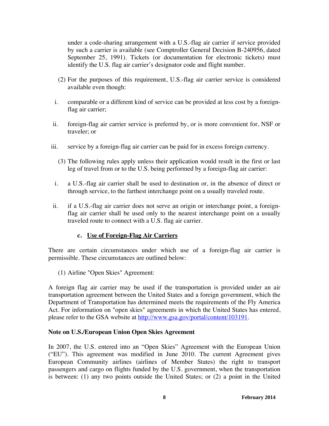under a code-sharing arrangement with a U.S.-flag air carrier if service provided by such a carrier is available (see Comptroller General Decision B-240956, dated September 25, 1991). Tickets (or documentation for electronic tickets) must identify the U.S. flag air carrier's designator code and flight number.

- (2) For the purposes of this requirement, U.S.-flag air carrier service is considered available even though:
- i. comparable or a different kind of service can be provided at less cost by a foreignflag air carrier;
- ii. foreign-flag air carrier service is preferred by, or is more convenient for, NSF or traveler; or
- iii. service by a foreign-flag air carrier can be paid for in excess foreign currency.
	- (3) The following rules apply unless their application would result in the first or last leg of travel from or to the U.S. being performed by a foreign-flag air carrier:
- i. a U.S.-flag air carrier shall be used to destination or, in the absence of direct or through service, to the farthest interchange point on a usually traveled route.
- ii. if a U.S.-flag air carrier does not serve an origin or interchange point, a foreignflag air carrier shall be used only to the nearest interchange point on a usually traveled route to connect with a U.S. flag air carrier.

#### **c. Use of Foreign-Flag Air Carriers**

There are certain circumstances under which use of a foreign-flag air carrier is permissible. These circumstances are outlined below:

(1) Airline "Open Skies" Agreement:

A foreign flag air carrier may be used if the transportation is provided under an air transportation agreement between the United States and a foreign government, which the Department of Transportation has determined meets the requirements of the Fly America Act. For information on "open skies" agreements in which the United States has entered, please refer to the GSA website at http://www.gsa.gov/portal/content/103191.

#### **Note on U.S./European Union Open Skies Agreement**

In 2007, the U.S. entered into an "Open Skies" Agreement with the European Union ("EU"). This agreement was modified in June 2010. The current Agreement gives European Community airlines (airlines of Member States) the right to transport passengers and cargo on flights funded by the U.S. government, when the transportation is between: (1) any two points outside the United States; or (2) a point in the United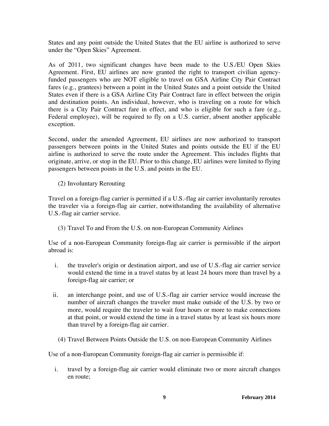States and any point outside the United States that the EU airline is authorized to serve under the "Open Skies" Agreement.

As of 2011, two significant changes have been made to the U.S./EU Open Skies Agreement. First, EU airlines are now granted the right to transport civilian agencyfunded passengers who are NOT eligible to travel on GSA Airline City Pair Contract fares (e.g., grantees) between a point in the United States and a point outside the United States even if there is a GSA Airline City Pair Contract fare in effect between the origin and destination points. An individual, however, who is traveling on a route for which there is a City Pair Contract fare in effect, and who is eligible for such a fare (e.g., Federal employee), will be required to fly on a U.S. carrier, absent another applicable exception.

Second, under the amended Agreement, EU airlines are now authorized to transport passengers between points in the United States and points outside the EU if the EU airline is authorized to serve the route under the Agreement. This includes flights that originate, arrive, or stop in the EU. Prior to this change, EU airlines were limited to flying passengers between points in the U.S. and points in the EU.

(2) Involuntary Rerouting

Travel on a foreign-flag carrier is permitted if a U.S.-flag air carrier involuntarily reroutes the traveler via a foreign-flag air carrier, notwithstanding the availability of alternative U.S.-flag air carrier service.

(3) Travel To and From the U.S. on non-European Community Airlines

Use of a non-European Community foreign-flag air carrier is permissible if the airport abroad is:

- i. the traveler's origin or destination airport, and use of U.S.-flag air carrier service would extend the time in a travel status by at least 24 hours more than travel by a foreign-flag air carrier; or
- ii. an interchange point, and use of U.S.-flag air carrier service would increase the number of aircraft changes the traveler must make outside of the U.S. by two or more, would require the traveler to wait four hours or more to make connections at that point, or would extend the time in a travel status by at least six hours more than travel by a foreign-flag air carrier.
	- (4) Travel Between Points Outside the U.S. on non-European Community Airlines

Use of a non-European Community foreign-flag air carrier is permissible if:

i. travel by a foreign-flag air carrier would eliminate two or more aircraft changes en route;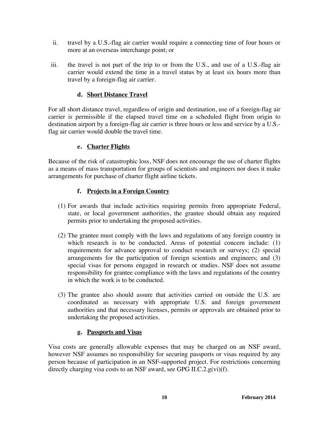- ii. travel by a U.S.-flag air carrier would require a connecting time of four hours or more at an overseas interchange point; or
- iii. the travel is not part of the trip to or from the U.S., and use of a U.S.-flag air carrier would extend the time in a travel status by at least six hours more than travel by a foreign-flag air carrier.

## **d. Short Distance Travel**

For all short distance travel, regardless of origin and destination, use of a foreign-flag air carrier is permissible if the elapsed travel time on a scheduled flight from origin to destination airport by a foreign-flag air carrier is three hours or less and service by a U.S. flag air carrier would double the travel time.

# **e. Charter Flights**

Because of the risk of catastrophic loss, NSF does not encourage the use of charter flights as a means of mass transportation for groups of scientists and engineers nor does it make arrangements for purchase of charter flight airline tickets.

### **f. Projects in a Foreign Country**

- (1) For awards that include activities requiring permits from appropriate Federal, state, or local government authorities, the grantee should obtain any required permits prior to undertaking the proposed activities.
- (2) The grantee must comply with the laws and regulations of any foreign country in which research is to be conducted. Areas of potential concern include: (1) requirements for advance approval to conduct research or surveys; (2) special arrangements for the participation of foreign scientists and engineers; and (3) special visas for persons engaged in research or studies. NSF does not assume responsibility for grantee compliance with the laws and regulations of the country in which the work is to be conducted.
- (3) The grantee also should assure that activities carried on outside the U.S. are coordinated as necessary with appropriate U.S. and foreign government authorities and that necessary licenses, permits or approvals are obtained prior to undertaking the proposed activities.

# **g. Passports and Visas**

Visa costs are generally allowable expenses that may be charged on an NSF award, however NSF assumes no responsibility for securing passports or visas required by any person because of participation in an NSF-supported project. For restrictions concerning directly charging visa costs to an NSF award, see GPG II.C.2.g(vi)(f).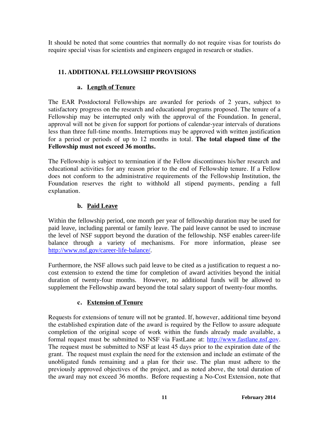It should be noted that some countries that normally do not require visas for tourists do require special visas for scientists and engineers engaged in research or studies.

# **11. ADDITIONAL FELLOWSHIP PROVISIONS**

# **a. Length of Tenure**

The EAR Postdoctoral Fellowships are awarded for periods of 2 years, subject to satisfactory progress on the research and educational programs proposed. The tenure of a Fellowship may be interrupted only with the approval of the Foundation. In general, approval will not be given for support for portions of calendar-year intervals of durations less than three full-time months. Interruptions may be approved with written justification for a period or periods of up to 12 months in total. **The total elapsed time of the Fellowship must not exceed 36 months.** 

The Fellowship is subject to termination if the Fellow discontinues his/her research and educational activities for any reason prior to the end of Fellowship tenure. If a Fellow does not conform to the administrative requirements of the Fellowship Institution, the Foundation reserves the right to withhold all stipend payments, pending a full explanation.

# **b. Paid Leave**

Within the fellowship period, one month per year of fellowship duration may be used for paid leave, including parental or family leave. The paid leave cannot be used to increase the level of NSF support beyond the duration of the fellowship. NSF enables career-life balance through a variety of mechanisms. For more information, please see http://www.nsf.gov/career-life-balance/.

Furthermore, the NSF allows such paid leave to be cited as a justification to request a nocost extension to extend the time for completion of award activities beyond the initial duration of twenty-four months. However, no additional funds will be allowed to supplement the Fellowship award beyond the total salary support of twenty-four months.

#### **c. Extension of Tenure**

Requests for extensions of tenure will not be granted. If, however, additional time beyond the established expiration date of the award is required by the Fellow to assure adequate completion of the original scope of work within the funds already made available, a formal request must be submitted to NSF via FastLane at: http://www.fastlane.nsf.gov. The request must be submitted to NSF at least 45 days prior to the expiration date of the grant. The request must explain the need for the extension and include an estimate of the unobligated funds remaining and a plan for their use. The plan must adhere to the previously approved objectives of the project, and as noted above, the total duration of the award may not exceed 36 months. Before requesting a No-Cost Extension, note that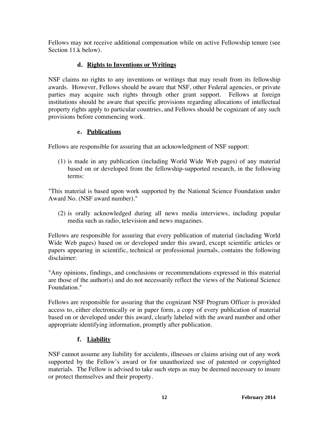Fellows may not receive additional compensation while on active Fellowship tenure (see Section 11.k below).

# **d. Rights to Inventions or Writings**

NSF claims no rights to any inventions or writings that may result from its fellowship awards. However, Fellows should be aware that NSF, other Federal agencies, or private parties may acquire such rights through other grant support. Fellows at foreign institutions should be aware that specific provisions regarding allocations of intellectual property rights apply to particular countries, and Fellows should be cognizant of any such provisions before commencing work.

# **e. Publications**

Fellows are responsible for assuring that an acknowledgment of NSF support:

(1) is made in any publication (including World Wide Web pages) of any material based on or developed from the fellowship-supported research, in the following terms:

"This material is based upon work supported by the National Science Foundation under Award No. (NSF award number)."

(2) is orally acknowledged during all news media interviews, including popular media such as radio, television and news magazines.

Fellows are responsible for assuring that every publication of material (including World Wide Web pages) based on or developed under this award, except scientific articles or papers appearing in scientific, technical or professional journals, contains the following disclaimer:

"Any opinions, findings, and conclusions or recommendations expressed in this material are those of the author(s) and do not necessarily reflect the views of the National Science Foundation."

Fellows are responsible for assuring that the cognizant NSF Program Officer is provided access to, either electronically or in paper form, a copy of every publication of material based on or developed under this award, clearly labeled with the award number and other appropriate identifying information, promptly after publication.

# **f. Liability**

NSF cannot assume any liability for accidents, illnesses or claims arising out of any work supported by the Fellow's award or for unauthorized use of patented or copyrighted materials. The Fellow is advised to take such steps as may be deemed necessary to insure or protect themselves and their property.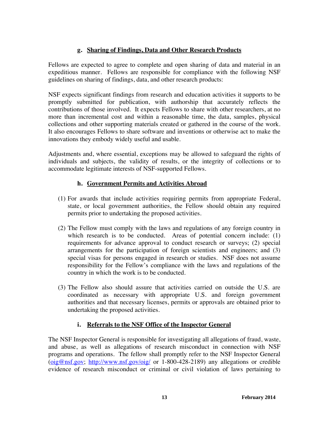# **g. Sharing of Findings, Data and Other Research Products**

Fellows are expected to agree to complete and open sharing of data and material in an expeditious manner. Fellows are responsible for compliance with the following NSF guidelines on sharing of findings, data, and other research products:

NSF expects significant findings from research and education activities it supports to be promptly submitted for publication, with authorship that accurately reflects the contributions of those involved. It expects Fellows to share with other researchers, at no more than incremental cost and within a reasonable time, the data, samples, physical collections and other supporting materials created or gathered in the course of the work. It also encourages Fellows to share software and inventions or otherwise act to make the innovations they embody widely useful and usable.

Adjustments and, where essential, exceptions may be allowed to safeguard the rights of individuals and subjects, the validity of results, or the integrity of collections or to accommodate legitimate interests of NSF-supported Fellows.

# **h. Government Permits and Activities Abroad**

- (1) For awards that include activities requiring permits from appropriate Federal, state, or local government authorities, the Fellow should obtain any required permits prior to undertaking the proposed activities.
- (2) The Fellow must comply with the laws and regulations of any foreign country in which research is to be conducted. Areas of potential concern include: (1) requirements for advance approval to conduct research or surveys; (2) special arrangements for the participation of foreign scientists and engineers; and (3) special visas for persons engaged in research or studies. NSF does not assume responsibility for the Fellow's compliance with the laws and regulations of the country in which the work is to be conducted.
- (3) The Fellow also should assure that activities carried on outside the U.S. are coordinated as necessary with appropriate U.S. and foreign government authorities and that necessary licenses, permits or approvals are obtained prior to undertaking the proposed activities.

# **i. Referrals to the NSF Office of the Inspector General**

The NSF Inspector General is responsible for investigating all allegations of fraud, waste, and abuse, as well as allegations of research misconduct in connection with NSF programs and operations. The fellow shall promptly refer to the NSF Inspector General (oig@nsf.gov; http://www.nsf.gov/oig/ or 1-800-428-2189) any allegations or credible evidence of research misconduct or criminal or civil violation of laws pertaining to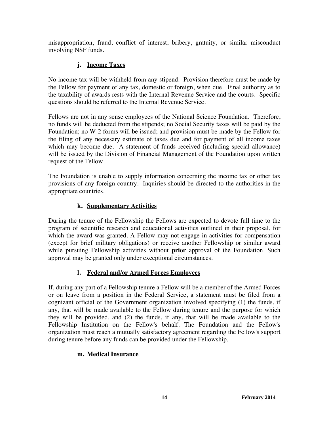misappropriation, fraud, conflict of interest, bribery, gratuity, or similar misconduct involving NSF funds.

# **j. Income Taxes**

No income tax will be withheld from any stipend. Provision therefore must be made by the Fellow for payment of any tax, domestic or foreign, when due. Final authority as to the taxability of awards rests with the Internal Revenue Service and the courts. Specific questions should be referred to the Internal Revenue Service.

Fellows are not in any sense employees of the National Science Foundation. Therefore, no funds will be deducted from the stipends; no Social Security taxes will be paid by the Foundation; no W-2 forms will be issued; and provision must be made by the Fellow for the filing of any necessary estimate of taxes due and for payment of all income taxes which may become due. A statement of funds received (including special allowance) will be issued by the Division of Financial Management of the Foundation upon written request of the Fellow.

The Foundation is unable to supply information concerning the income tax or other tax provisions of any foreign country. Inquiries should be directed to the authorities in the appropriate countries.

# **k. Supplementary Activities**

During the tenure of the Fellowship the Fellows are expected to devote full time to the program of scientific research and educational activities outlined in their proposal, for which the award was granted. A Fellow may not engage in activities for compensation (except for brief military obligations) or receive another Fellowship or similar award while pursuing Fellowship activities without **prior** approval of the Foundation. Such approval may be granted only under exceptional circumstances.

# **l. Federal and/or Armed Forces Employees**

If, during any part of a Fellowship tenure a Fellow will be a member of the Armed Forces or on leave from a position in the Federal Service, a statement must be filed from a cognizant official of the Government organization involved specifying (1) the funds, if any, that will be made available to the Fellow during tenure and the purpose for which they will be provided, and (2) the funds, if any, that will be made available to the Fellowship Institution on the Fellow's behalf. The Foundation and the Fellow's organization must reach a mutually satisfactory agreement regarding the Fellow's support during tenure before any funds can be provided under the Fellowship.

# **m. Medical Insurance**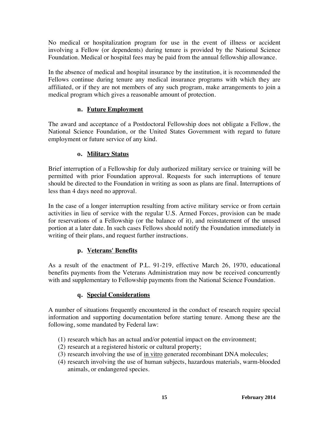No medical or hospitalization program for use in the event of illness or accident involving a Fellow (or dependents) during tenure is provided by the National Science Foundation. Medical or hospital fees may be paid from the annual fellowship allowance.

In the absence of medical and hospital insurance by the institution, it is recommended the Fellows continue during tenure any medical insurance programs with which they are affiliated, or if they are not members of any such program, make arrangements to join a medical program which gives a reasonable amount of protection.

# **n. Future Employment**

The award and acceptance of a Postdoctoral Fellowship does not obligate a Fellow, the National Science Foundation, or the United States Government with regard to future employment or future service of any kind.

# **o. Military Status**

Brief interruption of a Fellowship for duly authorized military service or training will be permitted with prior Foundation approval. Requests for such interruptions of tenure should be directed to the Foundation in writing as soon as plans are final. Interruptions of less than 4 days need no approval.

In the case of a longer interruption resulting from active military service or from certain activities in lieu of service with the regular U.S. Armed Forces, provision can be made for reservations of a Fellowship (or the balance of it), and reinstatement of the unused portion at a later date. In such cases Fellows should notify the Foundation immediately in writing of their plans, and request further instructions.

# **p. Veterans' Benefits**

As a result of the enactment of P.L. 91-219, effective March 26, 1970, educational benefits payments from the Veterans Administration may now be received concurrently with and supplementary to Fellowship payments from the National Science Foundation.

# **q. Special Considerations**

A number of situations frequently encountered in the conduct of research require special information and supporting documentation before starting tenure. Among these are the following, some mandated by Federal law:

- (1) research which has an actual and/or potential impact on the environment;
- (2) research at a registered historic or cultural property;
- (3) research involving the use of in vitro generated recombinant DNA molecules;
- (4) research involving the use of human subjects, hazardous materials, warm-blooded animals, or endangered species.